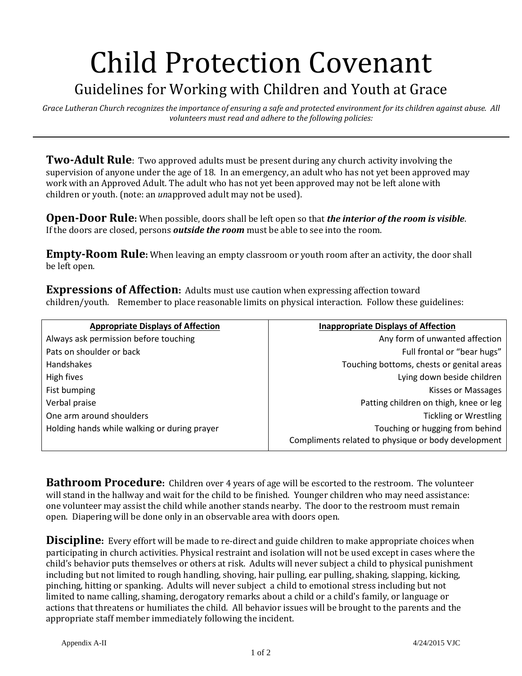## Child Protection Covenant

## Guidelines for Working with Children and Youth at Grace

*Grace Lutheran Church recognizes the importance of ensuring a safe and protected environment for its children against abuse. All volunteers must read and adhere to the following policies:*

**Two-Adult Rule**: Two approved adults must be present during any church activity involving the supervision of anyone under the age of 18. In an emergency, an adult who has not yet been approved may work with an Approved Adult. The adult who has not yet been approved may not be left alone with children or youth. (note: an *un*approved adult may not be used).

**Open-Door Rule:** When possible, doors shall be left open so that *the interior of the room is visible*. If the doors are closed, persons *outside the room* must be able to see into the room.

**Empty-Room Rule:** When leaving an empty classroom or youth room after an activity, the door shall be left open.

**Expressions of Affection:** Adults must use caution when expressing affection toward children/youth. Remember to place reasonable limits on physical interaction. Follow these guidelines:

| <b>Appropriate Displays of Affection</b>     | <b>Inappropriate Displays of Affection</b>                                             |
|----------------------------------------------|----------------------------------------------------------------------------------------|
| Always ask permission before touching        | Any form of unwanted affection                                                         |
| Pats on shoulder or back                     | Full frontal or "bear hugs"                                                            |
| Handshakes                                   | Touching bottoms, chests or genital areas                                              |
| High fives                                   | Lying down beside children                                                             |
| Fist bumping                                 | Kisses or Massages                                                                     |
| Verbal praise                                | Patting children on thigh, knee or leg                                                 |
| One arm around shoulders                     | <b>Tickling or Wrestling</b>                                                           |
| Holding hands while walking or during prayer | Touching or hugging from behind<br>Compliments related to physique or body development |

**Bathroom Procedure:** Children over 4 years of age will be escorted to the restroom. The volunteer will stand in the hallway and wait for the child to be finished. Younger children who may need assistance: one volunteer may assist the child while another stands nearby. The door to the restroom must remain open. Diapering will be done only in an observable area with doors open.

**Discipline:** Every effort will be made to re-direct and guide children to make appropriate choices when participating in church activities. Physical restraint and isolation will not be used except in cases where the child's behavior puts themselves or others at risk. Adults will never subject a child to physical punishment including but not limited to rough handling, shoving, hair pulling, ear pulling, shaking, slapping, kicking, pinching, hitting or spanking. Adults will never subject a child to emotional stress including but not limited to name calling, shaming, derogatory remarks about a child or a child's family, or language or actions that threatens or humiliates the child. All behavior issues will be brought to the parents and the appropriate staff member immediately following the incident.